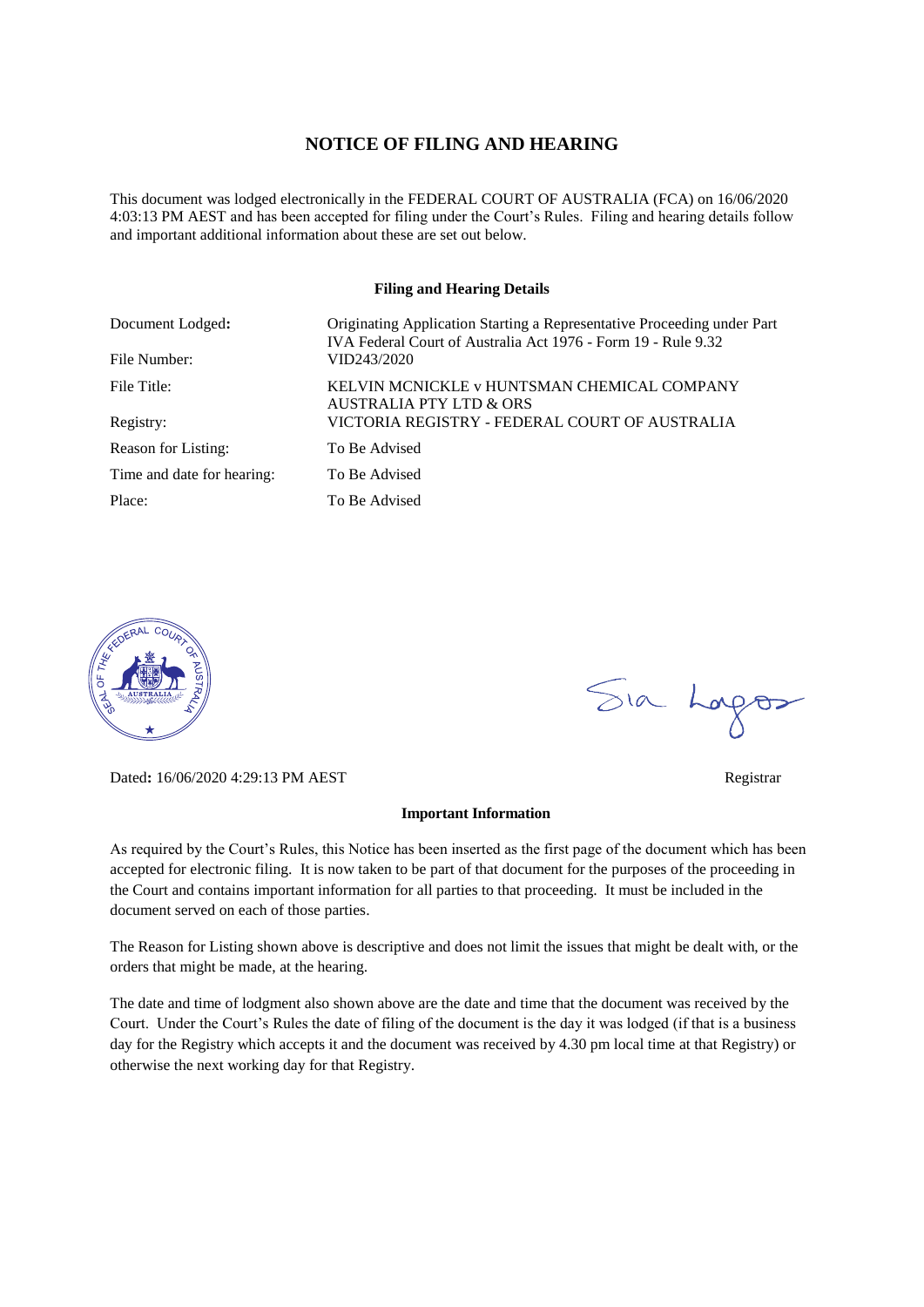#### **NOTICE OF FILING AND HEARING**

This document was lodged electronically in the FEDERAL COURT OF AUSTRALIA (FCA) on 16/06/2020 4:03:13 PM AEST and has been accepted for filing under the Court's Rules. Filing and hearing details follow and important additional information about these are set out below.

#### **Filing and Hearing Details**

| Document Lodged:           | Originating Application Starting a Representative Proceeding under Part<br>IVA Federal Court of Australia Act 1976 - Form 19 - Rule 9.32 |
|----------------------------|------------------------------------------------------------------------------------------------------------------------------------------|
| File Number:               | VID243/2020                                                                                                                              |
| File Title:                | KELVIN MCNICKLE v HUNTSMAN CHEMICAL COMPANY<br><b>AUSTRALIA PTY LTD &amp; ORS</b>                                                        |
| Registry:                  | VICTORIA REGISTRY - FEDERAL COURT OF AUSTRALIA                                                                                           |
| Reason for Listing:        | To Be Advised                                                                                                                            |
| Time and date for hearing: | To Be Advised                                                                                                                            |
| Place:                     | To Be Advised                                                                                                                            |



Dated**:** 16/06/2020 4:29:13 PM AEST Registrar

#### **Important Information**

As required by the Court's Rules, this Notice has been inserted as the first page of the document which has been accepted for electronic filing. It is now taken to be part of that document for the purposes of the proceeding in the Court and contains important information for all parties to that proceeding. It must be included in the document served on each of those parties.

The Reason for Listing shown above is descriptive and does not limit the issues that might be dealt with, or the orders that might be made, at the hearing.

The date and time of lodgment also shown above are the date and time that the document was received by the Court. Under the Court's Rules the date of filing of the document is the day it was lodged (if that is a business day for the Registry which accepts it and the document was received by 4.30 pm local time at that Registry) or otherwise the next working day for that Registry.

Sia Logos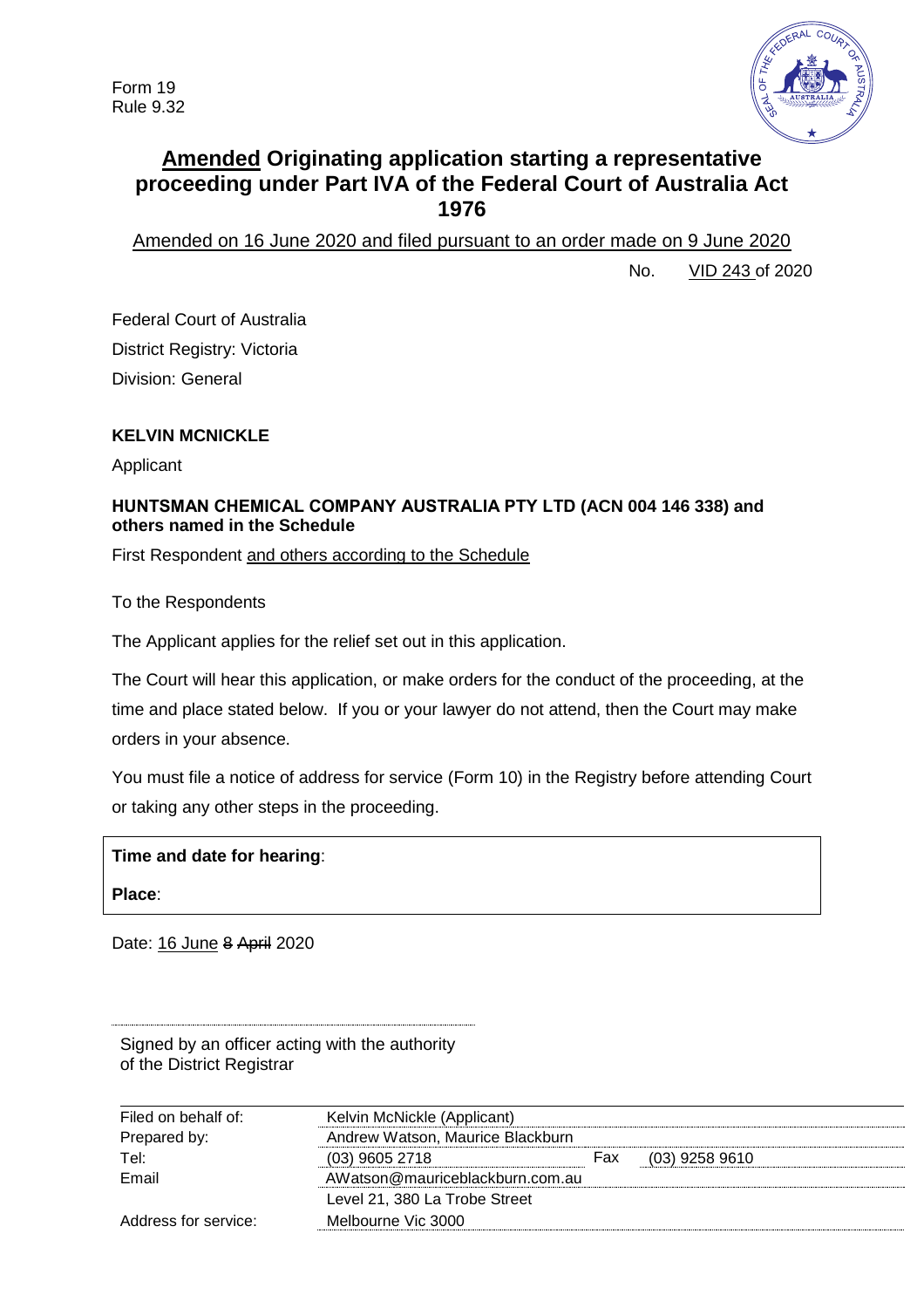

# **Amended Originating application starting a representative proceeding under Part IVA of the Federal Court of Australia Act 1976**

Amended on 16 June 2020 and filed pursuant to an order made on 9 June 2020

No. VID 243 of 2020

Federal Court of Australia District Registry: Victoria Division: General

# **KELVIN MCNICKLE**

Applicant

## **HUNTSMAN CHEMICAL COMPANY AUSTRALIA PTY LTD (ACN 004 146 338) and others named in the Schedule**

First Respondent and others according to the Schedule

To the Respondents

The Applicant applies for the relief set out in this application.

The Court will hear this application, or make orders for the conduct of the proceeding, at the time and place stated below. If you or your lawyer do not attend, then the Court may make orders in your absence.

You must file a notice of address for service (Form 10) in the Registry before attending Court or taking any other steps in the proceeding.

| Time and date for hearing: |  |
|----------------------------|--|
|----------------------------|--|

**Place**:

Date: 16 June 8 April 2020

| Signed by an officer acting with the authority |  |  |  |
|------------------------------------------------|--|--|--|
| of the District Registrar                      |  |  |  |

| Filed on behalf of:  | Kelvin McNickle (Applicant)      |     |                  |
|----------------------|----------------------------------|-----|------------------|
| Prepared by:         | Andrew Watson, Maurice Blackburn |     |                  |
| Tel:                 | $(03)$ 9605 2718                 | Fax | $(03)$ 9258 9610 |
| Email                | AWatson@mauriceblackburn.com.au  |     |                  |
|                      | Level 21, 380 La Trobe Street    |     |                  |
| Address for service: | Melbourne Vic 3000               |     |                  |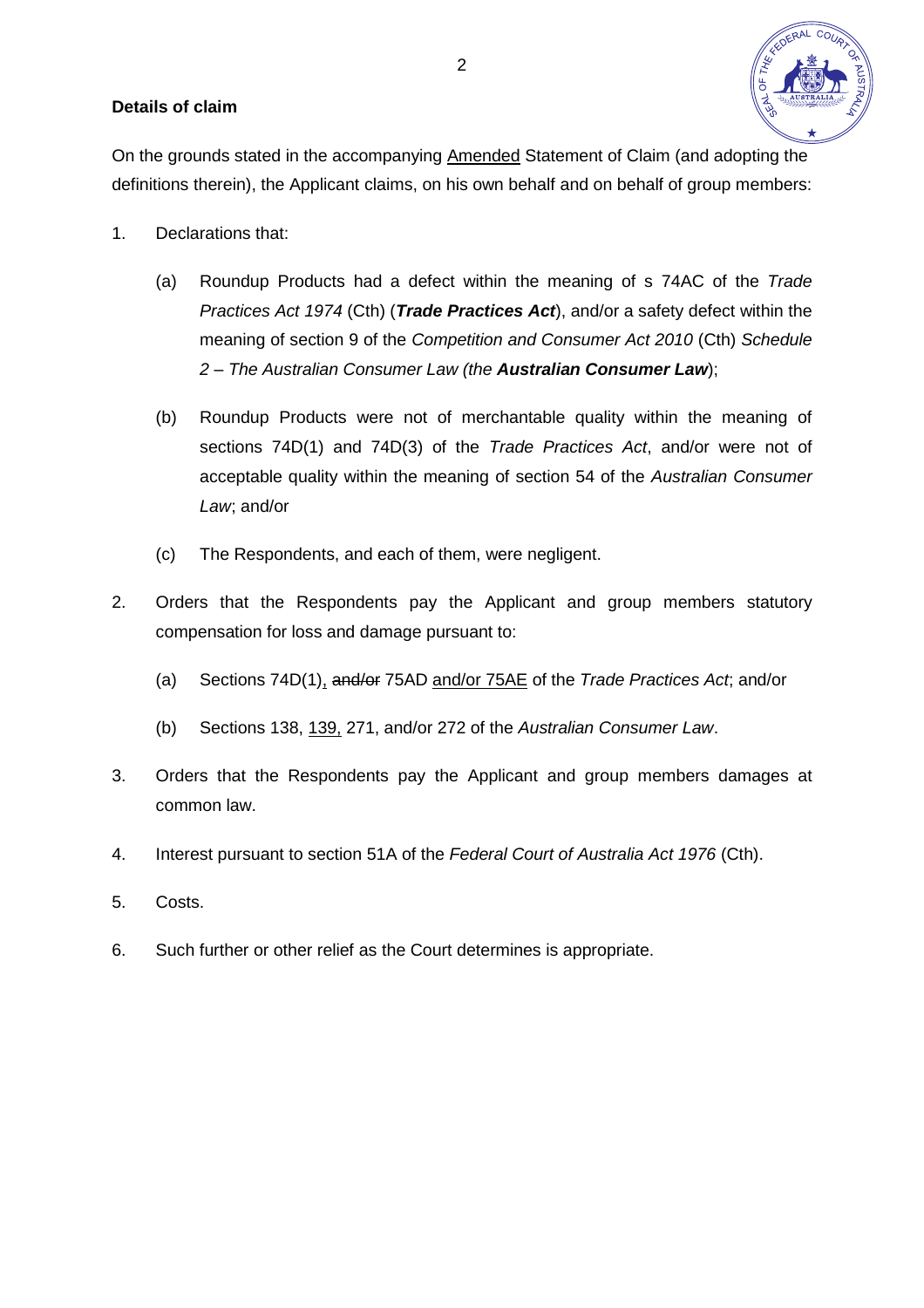#### **Details of claim**

On the grounds stated in the accompanying Amended Statement of Claim (and adopting the definitions therein), the Applicant claims, on his own behalf and on behalf of group members:

- 1. Declarations that:
	- (a) Roundup Products had a defect within the meaning of s 74AC of the *Trade Practices Act 1974* (Cth) (*Trade Practices Act*), and/or a safety defect within the meaning of section 9 of the *Competition and Consumer Act 2010* (Cth) *Schedule 2 – The Australian Consumer Law (the Australian Consumer Law*);
	- (b) Roundup Products were not of merchantable quality within the meaning of sections 74D(1) and 74D(3) of the *Trade Practices Act*, and/or were not of acceptable quality within the meaning of section 54 of the *Australian Consumer Law*; and/or
	- (c) The Respondents, and each of them, were negligent.
- 2. Orders that the Respondents pay the Applicant and group members statutory compensation for loss and damage pursuant to:
	- (a) Sections 74D(1), and/or 75AD and/or 75AE of the *Trade Practices Act*; and/or
	- (b) Sections 138, 139, 271, and/or 272 of the *Australian Consumer Law*.
- 3. Orders that the Respondents pay the Applicant and group members damages at common law.
- 4. Interest pursuant to section 51A of the *Federal Court of Australia Act 1976* (Cth).
- 5. Costs.
- 6. Such further or other relief as the Court determines is appropriate.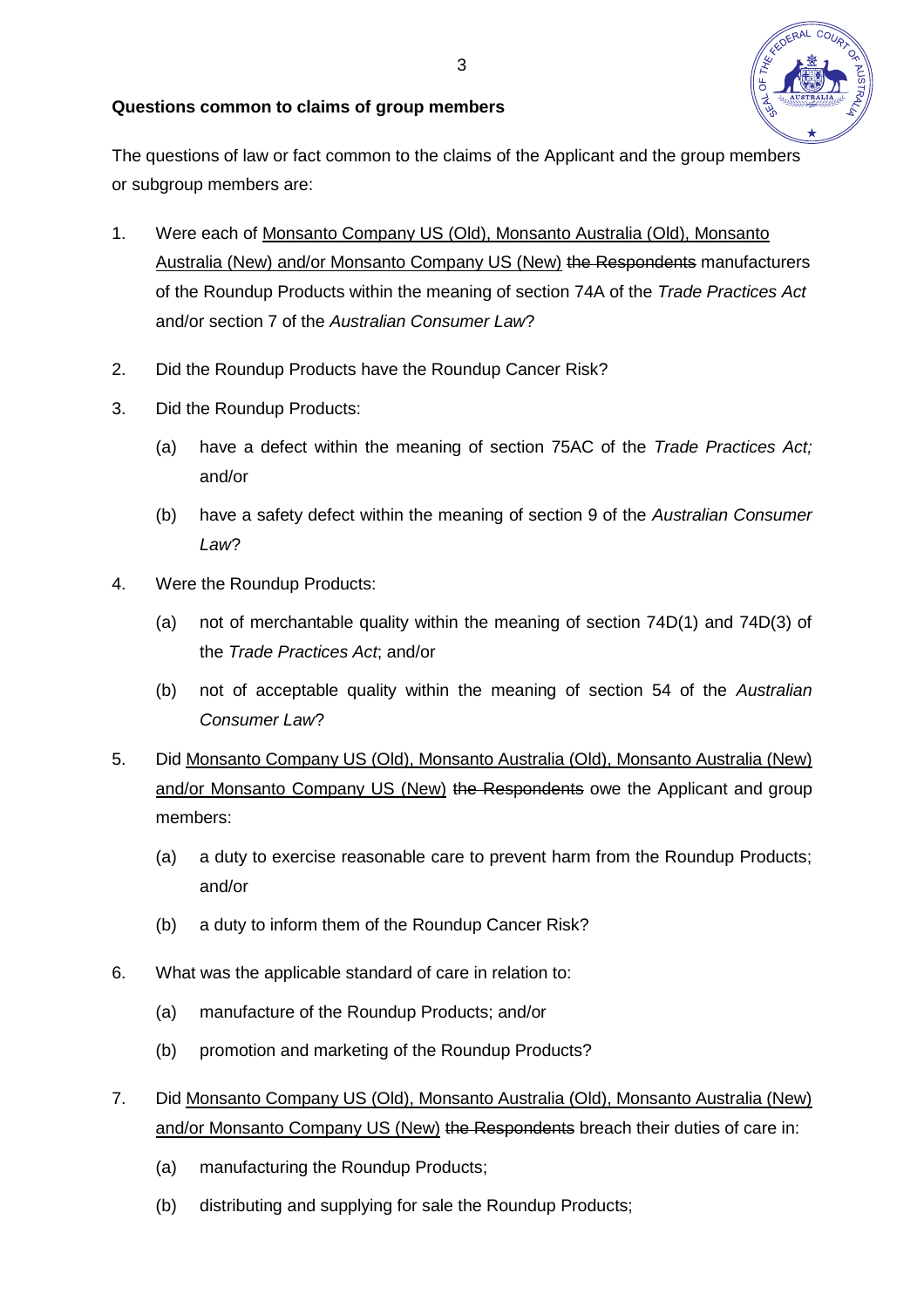

# **Questions common to claims of group members**

The questions of law or fact common to the claims of the Applicant and the group members or subgroup members are:

- 1. Were each of Monsanto Company US (Old), Monsanto Australia (Old), Monsanto Australia (New) and/or Monsanto Company US (New) the Respondents manufacturers of the Roundup Products within the meaning of section 74A of the *Trade Practices Act* and/or section 7 of the *Australian Consumer Law*?
- 2. Did the Roundup Products have the Roundup Cancer Risk?
- 3. Did the Roundup Products:
	- (a) have a defect within the meaning of section 75AC of the *Trade Practices Act;* and/or
	- (b) have a safety defect within the meaning of section 9 of the *Australian Consumer Law*?
- 4. Were the Roundup Products:
	- (a) not of merchantable quality within the meaning of section 74D(1) and 74D(3) of the *Trade Practices Act*; and/or
	- (b) not of acceptable quality within the meaning of section 54 of the *Australian Consumer Law*?
- 5. Did Monsanto Company US (Old), Monsanto Australia (Old), Monsanto Australia (New) and/or Monsanto Company US (New) the Respondents owe the Applicant and group members:
	- (a) a duty to exercise reasonable care to prevent harm from the Roundup Products; and/or
	- (b) a duty to inform them of the Roundup Cancer Risk?
- 6. What was the applicable standard of care in relation to:
	- (a) manufacture of the Roundup Products; and/or
	- (b) promotion and marketing of the Roundup Products?
- 7. Did Monsanto Company US (Old), Monsanto Australia (Old), Monsanto Australia (New) and/or Monsanto Company US (New) the Respondents breach their duties of care in:
	- (a) manufacturing the Roundup Products;
	- (b) distributing and supplying for sale the Roundup Products;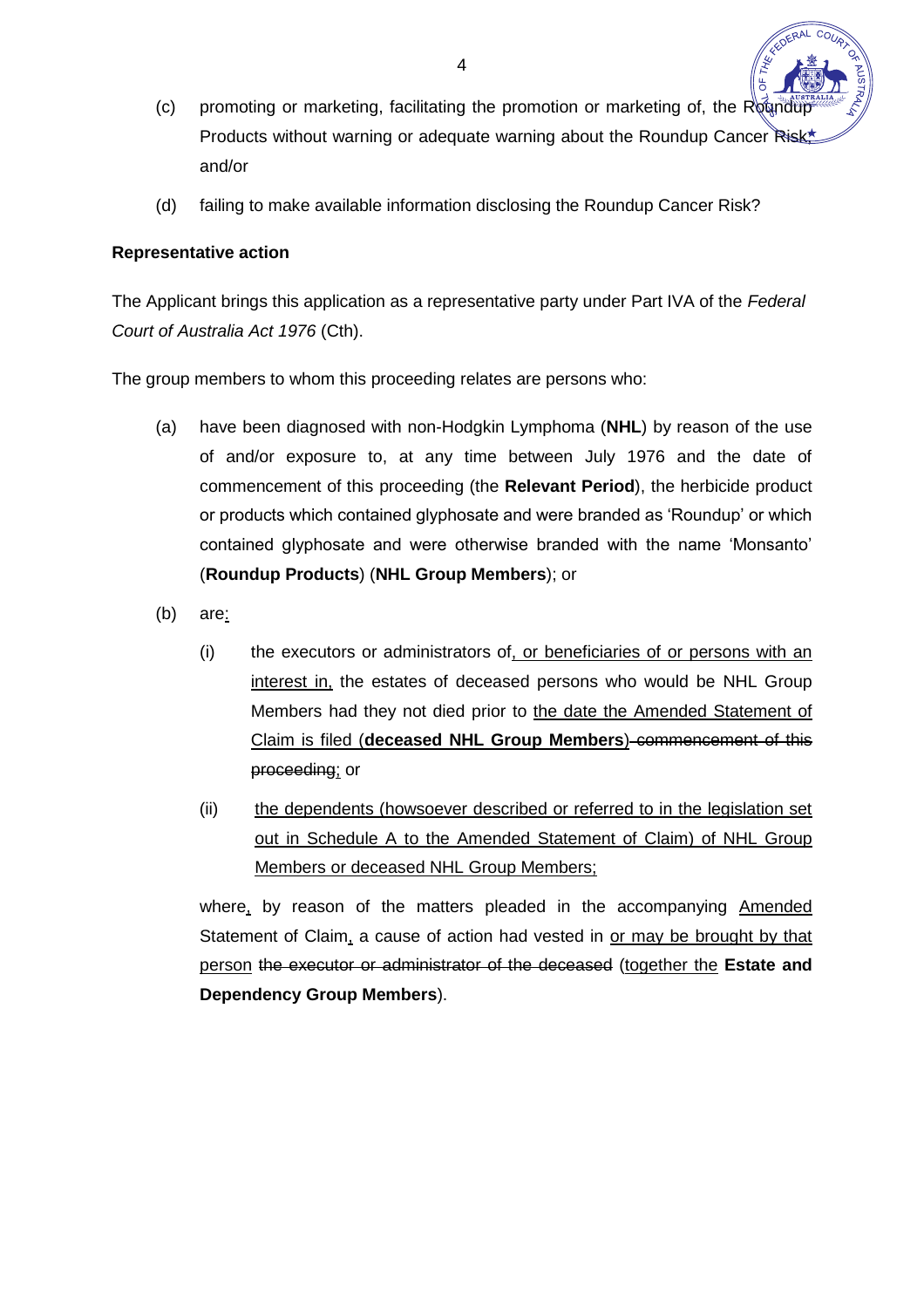- (c) promoting or marketing, facilitating the promotion or marketing of, the Roundu Products without warning or adequate warning about the Roundup Cancer Risk and/or
- (d) failing to make available information disclosing the Roundup Cancer Risk?

# **Representative action**

The Applicant brings this application as a representative party under Part IVA of the *Federal Court of Australia Act 1976* (Cth).

The group members to whom this proceeding relates are persons who:

- (a) have been diagnosed with non-Hodgkin Lymphoma (**NHL**) by reason of the use of and/or exposure to, at any time between July 1976 and the date of commencement of this proceeding (the **Relevant Period**), the herbicide product or products which contained glyphosate and were branded as 'Roundup' or which contained glyphosate and were otherwise branded with the name 'Monsanto' (**Roundup Products**) (**NHL Group Members**); or
- (b) are:
	- (i) the executors or administrators of, or beneficiaries of or persons with an interest in, the estates of deceased persons who would be NHL Group Members had they not died prior to the date the Amended Statement of Claim is filed (**deceased NHL Group Members**) commencement of this proceeding; or
	- (ii) the dependents (howsoever described or referred to in the legislation set out in Schedule A to the Amended Statement of Claim) of NHL Group Members or deceased NHL Group Members;

where, by reason of the matters pleaded in the accompanying Amended Statement of Claim, a cause of action had vested in or may be brought by that person the executor or administrator of the deceased (together the **Estate and Dependency Group Members**).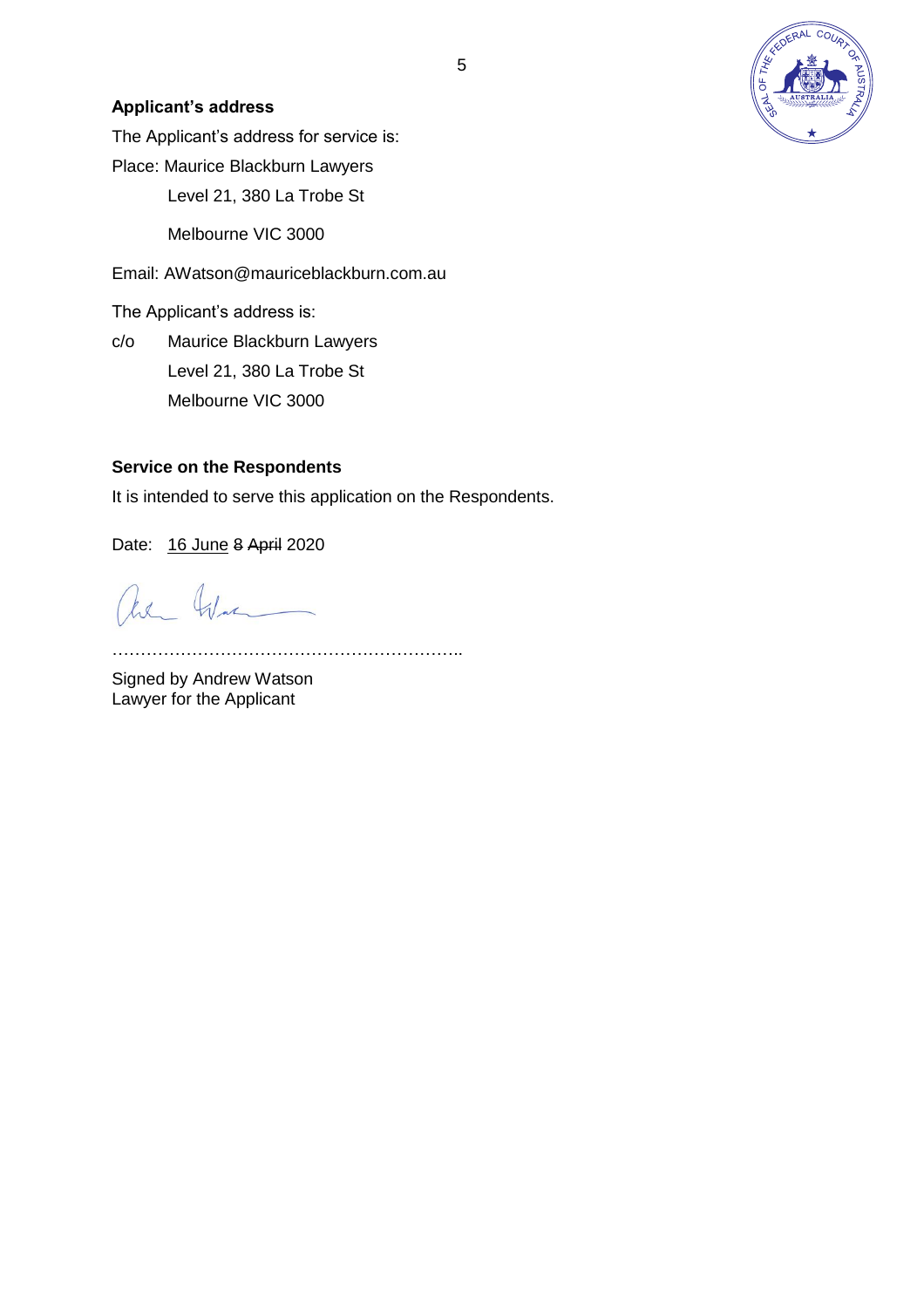

## **Applicant's address**

The Applicant's address for service is:

Place: Maurice Blackburn Lawyers

Level 21, 380 La Trobe St

Melbourne VIC 3000

Email: AWatson@mauriceblackburn.com.au

The Applicant's address is:

c/o Maurice Blackburn Lawyers Level 21, 380 La Trobe St Melbourne VIC 3000

#### **Service on the Respondents**

It is intended to serve this application on the Respondents.

Date: 16 June 8 April 2020

are Was

……………………………………………………..

Signed by Andrew Watson Lawyer for the Applicant